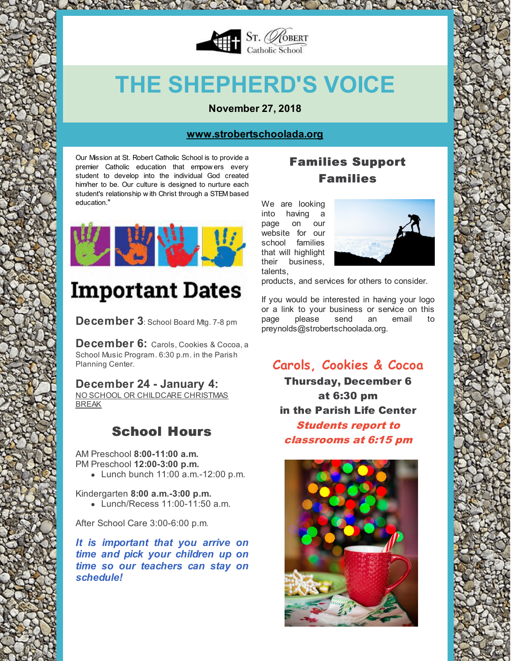

# **THE SHEPHERD'S VOICE**

**November 27, 2018**

#### **[www.strobertschoolada.org](http://strobertschoolada.org)**

Our Mission at St. Robert Catholic School is to provide a premier Catholic education that empow ers every student to develop into the individual God created him/her to be. Our culture is designed to nurture each student's relationship w ith Christ through a STEM based education."



## **Important Dates**

**December 3**: School Board Mtg. 7-8 pm

**December 6:** Carols, Cookies & Cocoa, <sup>a</sup> School Music Program. 6:30 p.m. in the Parish Planning Center.

#### **December 24 - January 4:**

NO SCHOOL OR CHILDCARE CHRISTMAS BREAK

## School Hours

AM Preschool **8:00-11:00 a.m.** PM Preschool **12:00-3:00 p.m.**

Lunch bunch 11:00 a.m.-12:00 p.m.

Kindergarten **8:00 a.m.-3:00 p.m.** Lunch/Recess 11:00-11:50 a.m.

After School Care 3:00-6:00 p.m.

*It is important that you arrive on time and pick your children up on time so our teachers can stay on schedule!*

## Families Support Families

We are looking into having a page on our website for our school families that will highlight their business, talents,



products, and services for others to consider.

If you would be interested in having your logo or a link to your business or service on this page please send an email to preynolds@strobertschoolada.org.

## **Carols, Cookies & Cocoa**

Thursday, December 6 at 6:30 pm in the Parish Life Center Students report to classrooms at 6:15 pm